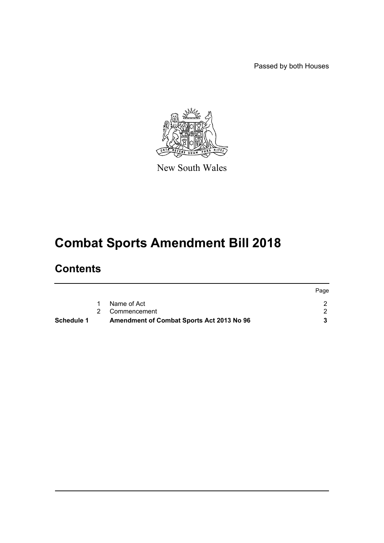Passed by both Houses



New South Wales

# **Combat Sports Amendment Bill 2018**

# **Contents**

| Schedule 1 | Amendment of Combat Sports Act 2013 No 96 |      |
|------------|-------------------------------------------|------|
|            | 2 Commencement                            |      |
|            | Name of Act                               |      |
|            |                                           | Page |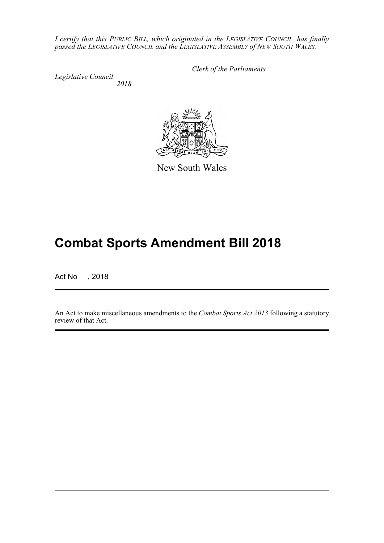*I certify that this PUBLIC BILL, which originated in the LEGISLATIVE COUNCIL, has finally passed the LEGISLATIVE COUNCIL and the LEGISLATIVE ASSEMBLY of NEW SOUTH WALES.*

*Legislative Council 2018* *Clerk of the Parliaments*



New South Wales

# **Combat Sports Amendment Bill 2018**

Act No , 2018

An Act to make miscellaneous amendments to the *Combat Sports Act 2013* following a statutory review of that Act.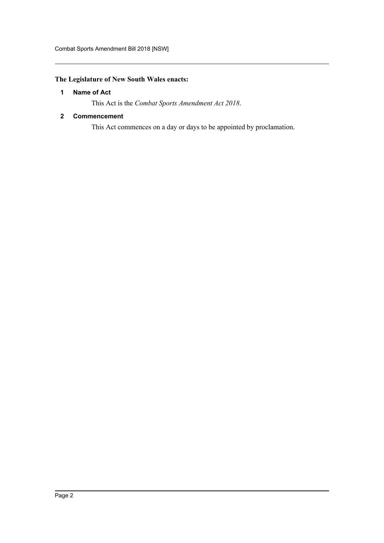## <span id="page-2-0"></span>**The Legislature of New South Wales enacts:**

## **1 Name of Act**

This Act is the *Combat Sports Amendment Act 2018*.

## <span id="page-2-1"></span>**2 Commencement**

This Act commences on a day or days to be appointed by proclamation.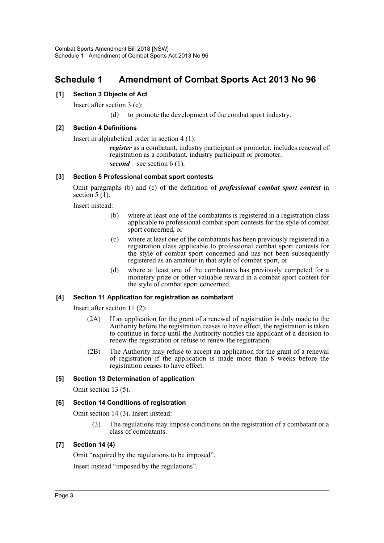## <span id="page-3-0"></span>**Schedule 1 Amendment of Combat Sports Act 2013 No 96**

## **[1] Section 3 Objects of Act**

Insert after section 3 (c):

(d) to promote the development of the combat sport industry.

### **[2] Section 4 Definitions**

Insert in alphabetical order in section 4 (1):

*register* as a combatant, industry participant or promoter, includes renewal of registration as a combatant, industry participant or promoter. *second*—see section 6 (1).

### **[3] Section 5 Professional combat sport contests**

Omit paragraphs (b) and (c) of the definition of *professional combat sport contest* in section  $5(1)$ .

Insert instead:

- (b) where at least one of the combatants is registered in a registration class applicable to professional combat sport contests for the style of combat sport concerned, or
- (c) where at least one of the combatants has been previously registered in a registration class applicable to professional combat sport contests for the style of combat sport concerned and has not been subsequently registered as an amateur in that style of combat sport, or
- (d) where at least one of the combatants has previously competed for a monetary prize or other valuable reward in a combat sport contest for the style of combat sport concerned.

## **[4] Section 11 Application for registration as combatant**

Insert after section 11 (2):

- (2A) If an application for the grant of a renewal of registration is duly made to the Authority before the registration ceases to have effect, the registration is taken to continue in force until the Authority notifies the applicant of a decision to renew the registration or refuse to renew the registration.
- (2B) The Authority may refuse to accept an application for the grant of a renewal of registration if the application is made more than 8 weeks before the registration ceases to have effect.

## **[5] Section 13 Determination of application**

Omit section 13 (5).

## **[6] Section 14 Conditions of registration**

Omit section 14 (3). Insert instead:

(3) The regulations may impose conditions on the registration of a combatant or a class of combatants.

## **[7] Section 14 (4)**

Omit "required by the regulations to be imposed".

Insert instead "imposed by the regulations".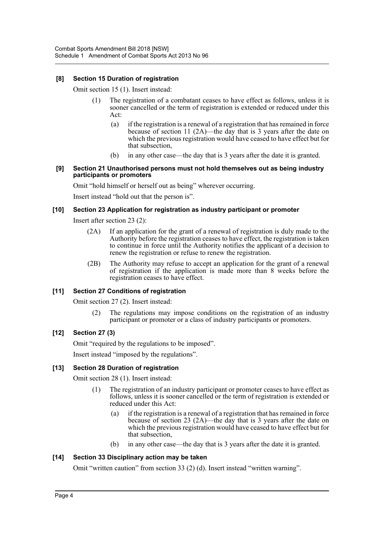## **[8] Section 15 Duration of registration**

Omit section 15 (1). Insert instead:

- (1) The registration of a combatant ceases to have effect as follows, unless it is sooner cancelled or the term of registration is extended or reduced under this Act:
	- (a) if the registration is a renewal of a registration that has remained in force because of section 11 (2A)—the day that is 3 years after the date on which the previous registration would have ceased to have effect but for that subsection,
	- (b) in any other case—the day that is 3 years after the date it is granted.

#### **[9] Section 21 Unauthorised persons must not hold themselves out as being industry participants or promoters**

Omit "hold himself or herself out as being" wherever occurring.

Insert instead "hold out that the person is".

### **[10] Section 23 Application for registration as industry participant or promoter**

Insert after section 23 (2):

- (2A) If an application for the grant of a renewal of registration is duly made to the Authority before the registration ceases to have effect, the registration is taken to continue in force until the Authority notifies the applicant of a decision to renew the registration or refuse to renew the registration.
- (2B) The Authority may refuse to accept an application for the grant of a renewal of registration if the application is made more than 8 weeks before the registration ceases to have effect.

## **[11] Section 27 Conditions of registration**

Omit section 27 (2). Insert instead:

(2) The regulations may impose conditions on the registration of an industry participant or promoter or a class of industry participants or promoters.

## **[12] Section 27 (3)**

Omit "required by the regulations to be imposed".

Insert instead "imposed by the regulations".

## **[13] Section 28 Duration of registration**

Omit section 28 (1). Insert instead:

- (1) The registration of an industry participant or promoter ceases to have effect as follows, unless it is sooner cancelled or the term of registration is extended or reduced under this Act:
	- (a) if the registration is a renewal of a registration that has remained in force because of section 23 (2A)—the day that is 3 years after the date on which the previous registration would have ceased to have effect but for that subsection,
	- (b) in any other case—the day that is 3 years after the date it is granted.

## **[14] Section 33 Disciplinary action may be taken**

Omit "written caution" from section 33 (2) (d). Insert instead "written warning".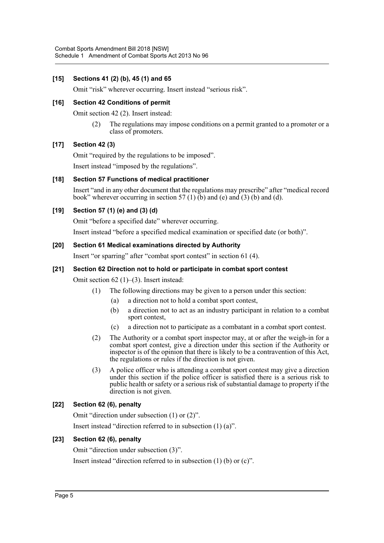## **[15] Sections 41 (2) (b), 45 (1) and 65**

Omit "risk" wherever occurring. Insert instead "serious risk".

#### **[16] Section 42 Conditions of permit**

Omit section 42 (2). Insert instead:

(2) The regulations may impose conditions on a permit granted to a promoter or a class of promoters.

#### **[17] Section 42 (3)**

Omit "required by the regulations to be imposed".

Insert instead "imposed by the regulations".

#### **[18] Section 57 Functions of medical practitioner**

Insert "and in any other document that the regulations may prescribe" after "medical record book" wherever occurring in section 57 (1)  $(b)$  and (e) and  $(3)$   $(b)$  and  $(d)$ .

#### **[19] Section 57 (1) (e) and (3) (d)**

Omit "before a specified date" wherever occurring.

Insert instead "before a specified medical examination or specified date (or both)".

#### **[20] Section 61 Medical examinations directed by Authority**

Insert "or sparring" after "combat sport contest" in section 61 (4).

#### **[21] Section 62 Direction not to hold or participate in combat sport contest**

Omit section 62 (1)–(3). Insert instead:

- (1) The following directions may be given to a person under this section:
	- (a) a direction not to hold a combat sport contest,
	- (b) a direction not to act as an industry participant in relation to a combat sport contest,
	- (c) a direction not to participate as a combatant in a combat sport contest.
- (2) The Authority or a combat sport inspector may, at or after the weigh-in for a combat sport contest, give a direction under this section if the Authority or inspector is of the opinion that there is likely to be a contravention of this Act, the regulations or rules if the direction is not given.
- (3) A police officer who is attending a combat sport contest may give a direction under this section if the police officer is satisfied there is a serious risk to public health or safety or a serious risk of substantial damage to property if the direction is not given.

#### **[22] Section 62 (6), penalty**

Omit "direction under subsection (1) or (2)". Insert instead "direction referred to in subsection (1) (a)".

#### **[23] Section 62 (6), penalty**

Omit "direction under subsection (3)".

Insert instead "direction referred to in subsection (1) (b) or (c)".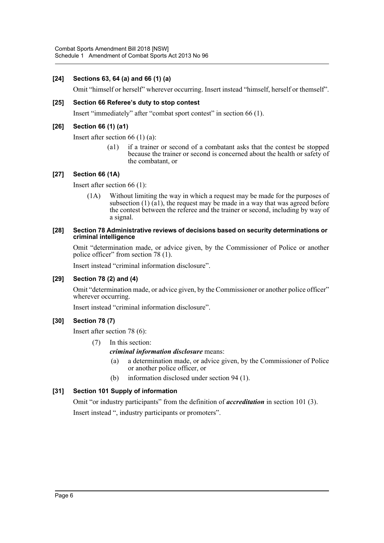## **[24] Sections 63, 64 (a) and 66 (1) (a)**

Omit "himself or herself" wherever occurring. Insert instead "himself, herself or themself".

#### **[25] Section 66 Referee's duty to stop contest**

Insert "immediately" after "combat sport contest" in section 66 (1).

#### **[26] Section 66 (1) (a1)**

Insert after section 66 (1) (a):

(a1) if a trainer or second of a combatant asks that the contest be stopped because the trainer or second is concerned about the health or safety of the combatant, or

#### **[27] Section 66 (1A)**

Insert after section 66 (1):

(1A) Without limiting the way in which a request may be made for the purposes of subsection  $(1)$   $(\overline{a}1)$ , the request may be made in a way that was agreed before the contest between the referee and the trainer or second, including by way of a signal.

#### **[28] Section 78 Administrative reviews of decisions based on security determinations or criminal intelligence**

Omit "determination made, or advice given, by the Commissioner of Police or another police officer" from section 78 (1).

Insert instead "criminal information disclosure".

#### **[29] Section 78 (2) and (4)**

Omit "determination made, or advice given, by the Commissioner or another police officer" wherever occurring.

Insert instead "criminal information disclosure".

#### **[30] Section 78 (7)**

Insert after section 78 (6):

(7) In this section:

*criminal information disclosure* means:

- (a) a determination made, or advice given, by the Commissioner of Police or another police officer, or
- (b) information disclosed under section 94 (1).

#### **[31] Section 101 Supply of information**

Omit "or industry participants" from the definition of *accreditation* in section 101 (3). Insert instead ", industry participants or promoters".